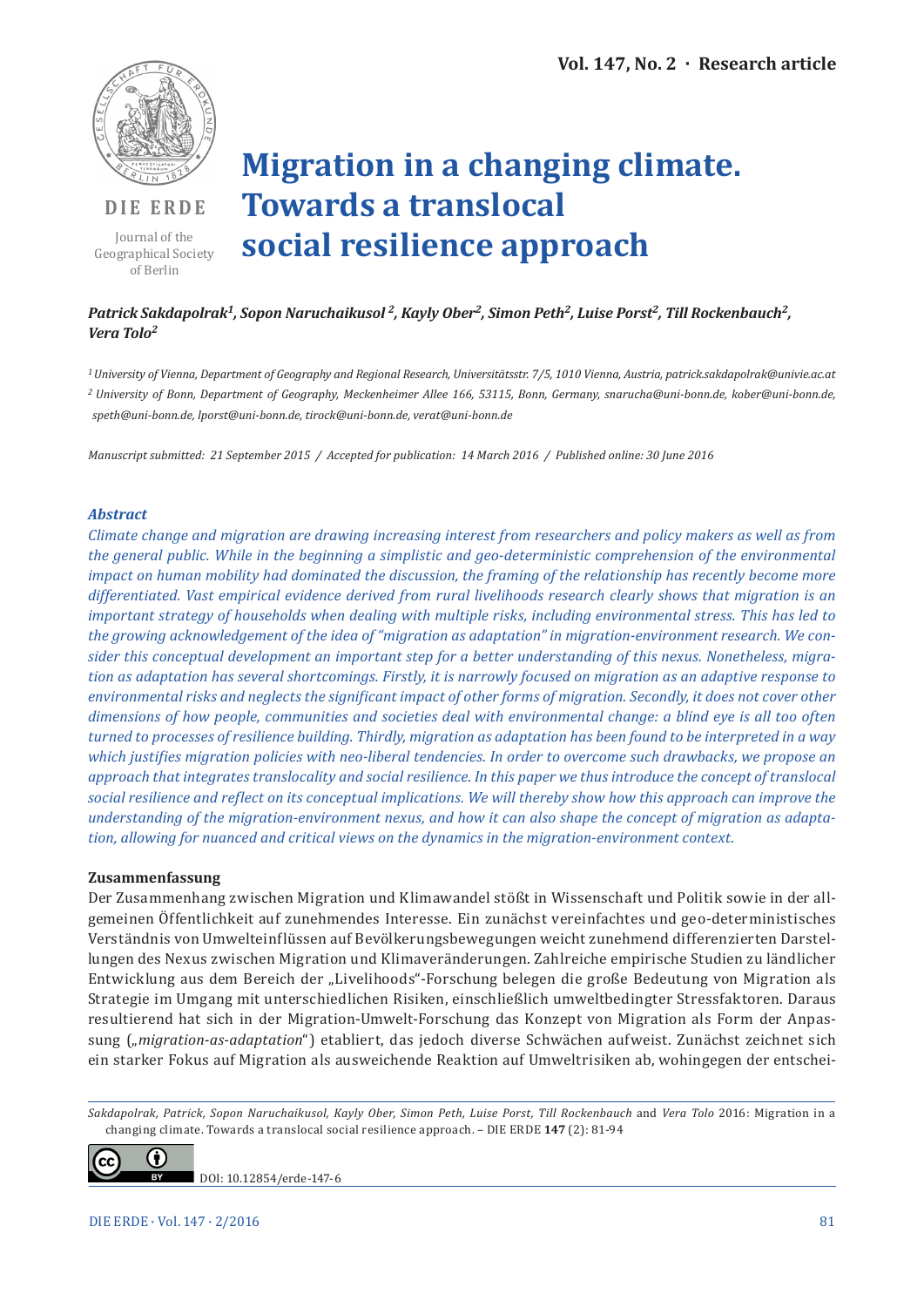

**DIE ERDE**

Journal of the Geographical Society of Berlin

# **Migration in a changing climate. Towards a translocal social resilience approach**

# Patrick Sakdapolrak<sup>1</sup>, Sopon Naruchaikusol<sup>2</sup>, Kayly Ober<sup>2</sup>, Simon Peth<sup>2</sup>, Luise Porst<sup>2</sup>, Till Rockenbauch<sup>2</sup>, *Vera Tolo2*

*<sup>1</sup>University of Vienna, Department of Geography and Regional Research, Universitätsstr. 7/5, 1010 Vienna, Austria, patrick.sakdapolrak@univie.ac.at 2 University of Bonn, Department of Geography, Meckenheimer Allee 166, 53115, Bonn, Germany, snarucha@uni-bonn.de, kober@uni-bonn.de, speth@uni-bonn.de, lporst@uni-bonn.de, tirock@uni-bonn.de, verat@uni-bonn.de*

*Manuscript submitted: 21 September 2015 / Accepted for publication: 14 March 2016 / Published online: 30 June 2016* 

## *Abstract*

*Climate change and migration are drawing increasing interest from researchers and policy makers as well as from the general public. While in the beginning a simplistic and geo-deterministic comprehension of the environmental impact on human mobility had dominated the discussion, the framing of the relationship has recently become more differentiated. Vast empirical evidence derived from rural livelihoods research clearly shows that migration is an important strategy of households when dealing with multiple risks, including environmental stress. This has led to the growing acknowledgement of the idea of "migration as adaptation" in migration-environment research. We consider this conceptual development an important step for a better understanding of this nexus. Nonetheless, migration as adaptation has several shortcomings. Firstly, it is narrowly focused on migration as an adaptive response to environmental risks and neglects the significant impact of other forms of migration. Secondly, it does not cover other dimensions of how people, communities and societies deal with environmental change: a blind eye is all too often turned to processes of resilience building. Thirdly, migration as adaptation has been found to be interpreted in a way which justifies migration policies with neo-liberal tendencies. In order to overcome such drawbacks, we propose an approach that integrates translocality and social resilience. In this paper we thus introduce the concept of translocal social resilience and reflect on its conceptual implications. We will thereby show how this approach can improve the understanding of the migration-environment nexus, and how it can also shape the concept of migration as adaptation, allowing for nuanced and critical views on the dynamics in the migration-environment context.*

## **Zusammenfassung**

Der Zusammenhang zwischen Migration und Klimawandel stößt in Wissenschaft und Politik sowie in der allgemeinen Öffentlichkeit auf zunehmendes Interesse. Ein zunächst vereinfachtes und geo-deterministisches Verständnis von Umwelteinflüssen auf Bevölkerungsbewegungen weicht zunehmend differenzierten Darstellungen des Nexus zwischen Migration und Klimaveränderungen. Zahlreiche empirische Studien zu ländlicher Entwicklung aus dem Bereich der "Livelihoods"-Forschung belegen die große Bedeutung von Migration als Strategie im Umgang mit unterschiedlichen Risiken, einschließlich umweltbedingter Stressfaktoren. Daraus resultierend hat sich in der Migration-Umwelt-Forschung das Konzept von Migration als Form der Anpassung ("migration-as-adaptation") etabliert, das jedoch diverse Schwächen aufweist. Zunächst zeichnet sich ein starker Fokus auf Migration als ausweichende Reaktion auf Umweltrisiken ab, wohingegen der entschei-

*Sakdapolrak, Patrick, Sopon Naruchaikusol, Kayly Ober, Simon Peth, Luise Porst, Till Rockenbauch* and *Vera Tolo* 2016: Migration in a changing climate. Towards a translocal social resilience approach. – DIE ERDE **147** (2): 81-94



DOI: 10.12854/erde-147-6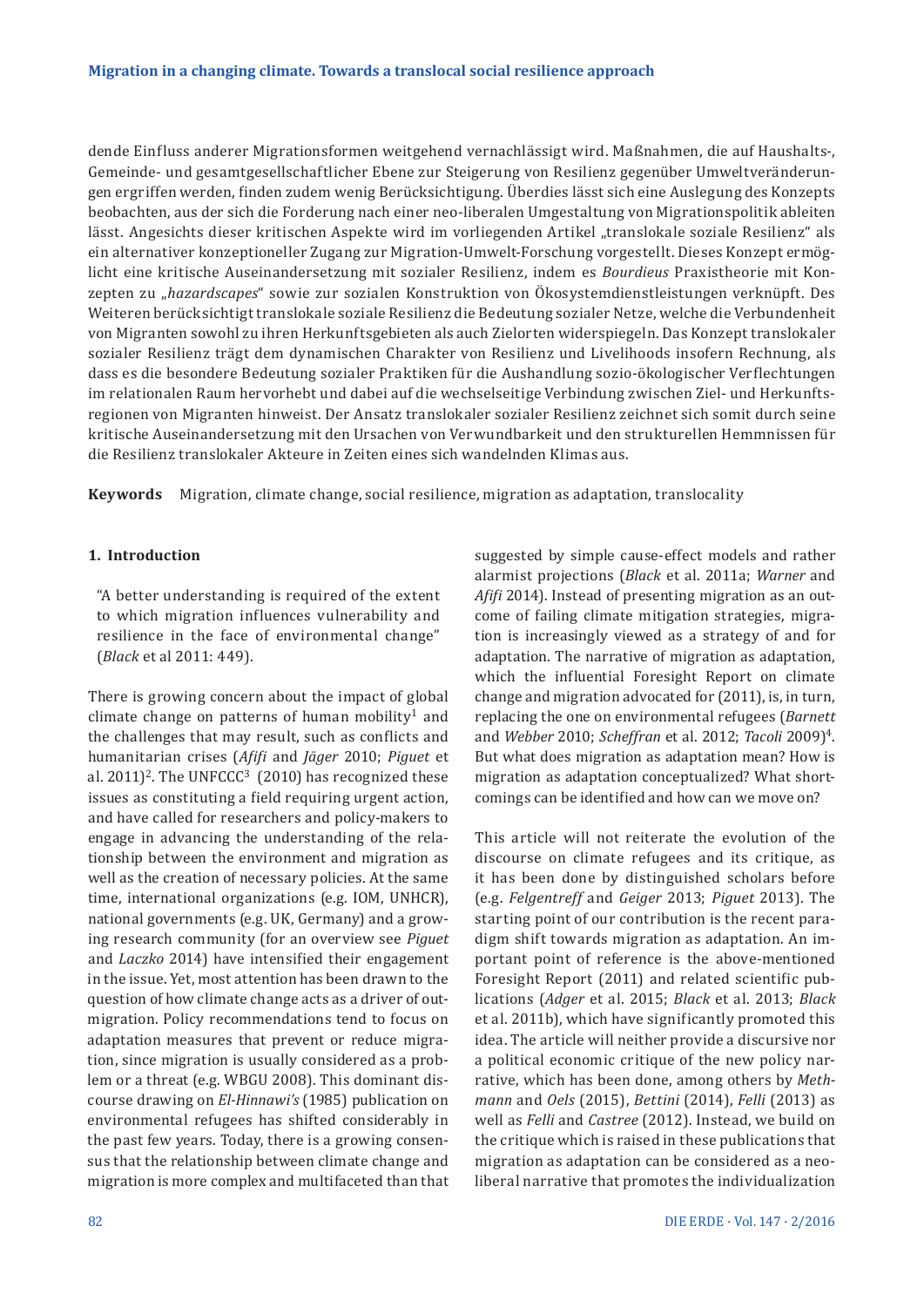dende Einfluss anderer Migrationsformen weitgehend vernachlässigt wird. Maßnahmen, die auf Haushalts-, Gemeinde- und gesamtgesellschaftlicher Ebene zur Steigerung von Resilienz gegenüber Umweltveränderungen ergriffen werden, finden zudem wenig Berücksichtigung. Überdies lässt sich eine Auslegung des Konzepts beobachten, aus der sich die Forderung nach einer neo-liberalen Umgestaltung von Migrationspolitik ableiten lässt. Angesichts dieser kritischen Aspekte wird im vorliegenden Artikel "translokale soziale Resilienz" als ein alternativer konzeptioneller Zugang zur Migration-Umwelt-Forschung vorgestellt. Dieses Konzept ermöglicht eine kritische Auseinandersetzung mit sozialer Resilienz, indem es *Bourdieus* Praxistheorie mit Konzepten zu "*hazardscapes*" sowie zur sozialen Konstruktion von Ökosystemdienstleistungen verknüpft. Des Weiteren berücksichtigt translokale soziale Resilienz die Bedeutung sozialer Netze, welche die Verbundenheit von Migranten sowohl zu ihren Herkunftsgebieten als auch Zielorten widerspiegeln. Das Konzept translokaler sozialer Resilienz trägt dem dynamischen Charakter von Resilienz und Livelihoods insofern Rechnung, als dass es die besondere Bedeutung sozialer Praktiken für die Aushandlung sozio-ökologischer Verflechtungen im relationalen Raum hervorhebt und dabei auf die wechselseitige Verbindung zwischen Ziel- und Herkunftsregionen von Migranten hinweist. Der Ansatz translokaler sozialer Resilienz zeichnet sich somit durch seine kritische Auseinandersetzung mit den Ursachen von Verwundbarkeit und den strukturellen Hemmnissen für die Resilienz translokaler Akteure in Zeiten eines sich wandelnden Klimas aus.

**Keywords** Migration, climate change, social resilience, migration as adaptation, translocality

## **1. Introduction**

"A better understanding is required of the extent to which migration influences vulnerability and resilience in the face of environmental change" (*Black* et al 2011: 449).

There is growing concern about the impact of global climate change on patterns of human mobility<sup>1</sup> and the challenges that may result, such as conflicts and humanitarian crises (*Afifi* and *Jäger* 2010; *Piguet* et al.  $2011$ <sup>2</sup>. The UNFCCC<sup>3</sup> (2010) has recognized these issues as constituting a field requiring urgent action, and have called for researchers and policy-makers to engage in advancing the understanding of the relationship between the environment and migration as well as the creation of necessary policies. At the same time, international organizations (e.g. IOM, UNHCR), national governments (e.g. UK, Germany) and a growing research community (for an overview see *Piguet*  and *Laczko* 2014) have intensified their engagement in the issue. Yet, most attention has been drawn to the question of how climate change acts as a driver of outmigration. Policy recommendations tend to focus on adaptation measures that prevent or reduce migration, since migration is usually considered as a problem or a threat (e.g. WBGU 2008). This dominant discourse drawing on *El-Hinnawi's* (1985) publication on environmental refugees has shifted considerably in the past few years. Today, there is a growing consensus that the relationship between climate change and migration is more complex and multifaceted than that suggested by simple cause-effect models and rather alarmist projections (*Black* et al. 2011a; *Warner* and *Afifi* 2014). Instead of presenting migration as an outcome of failing climate mitigation strategies, migration is increasingly viewed as a strategy of and for adaptation. The narrative of migration as adaptation, which the influential Foresight Report on climate change and migration advocated for (2011), is, in turn, replacing the one on environmental refugees (*Barnett*  and *Webber* 2010; *Scheffran* et al. 2012; *Tacoli* 2009)4. But what does migration as adaptation mean? How is migration as adaptation conceptualized? What shortcomings can be identified and how can we move on?

This article will not reiterate the evolution of the discourse on climate refugees and its critique, as it has been done by distinguished scholars before (e.g. *Felgentreff* and *Geiger* 2013; *Piguet* 2013). The starting point of our contribution is the recent paradigm shift towards migration as adaptation. An important point of reference is the above-mentioned Foresight Report (2011) and related scientific publications (*Adger* et al. 2015; *Black* et al. 2013; *Black*  et al. 2011b), which have significantly promoted this idea. The article will neither provide a discursive nor a political economic critique of the new policy narrative, which has been done, among others by *Methmann* and *Oels* (2015), *Bettini* (2014), *Felli* (2013) as well as *Felli* and *Castree* (2012). Instead, we build on the critique which is raised in these publications that migration as adaptation can be considered as a neoliberal narrative that promotes the individualization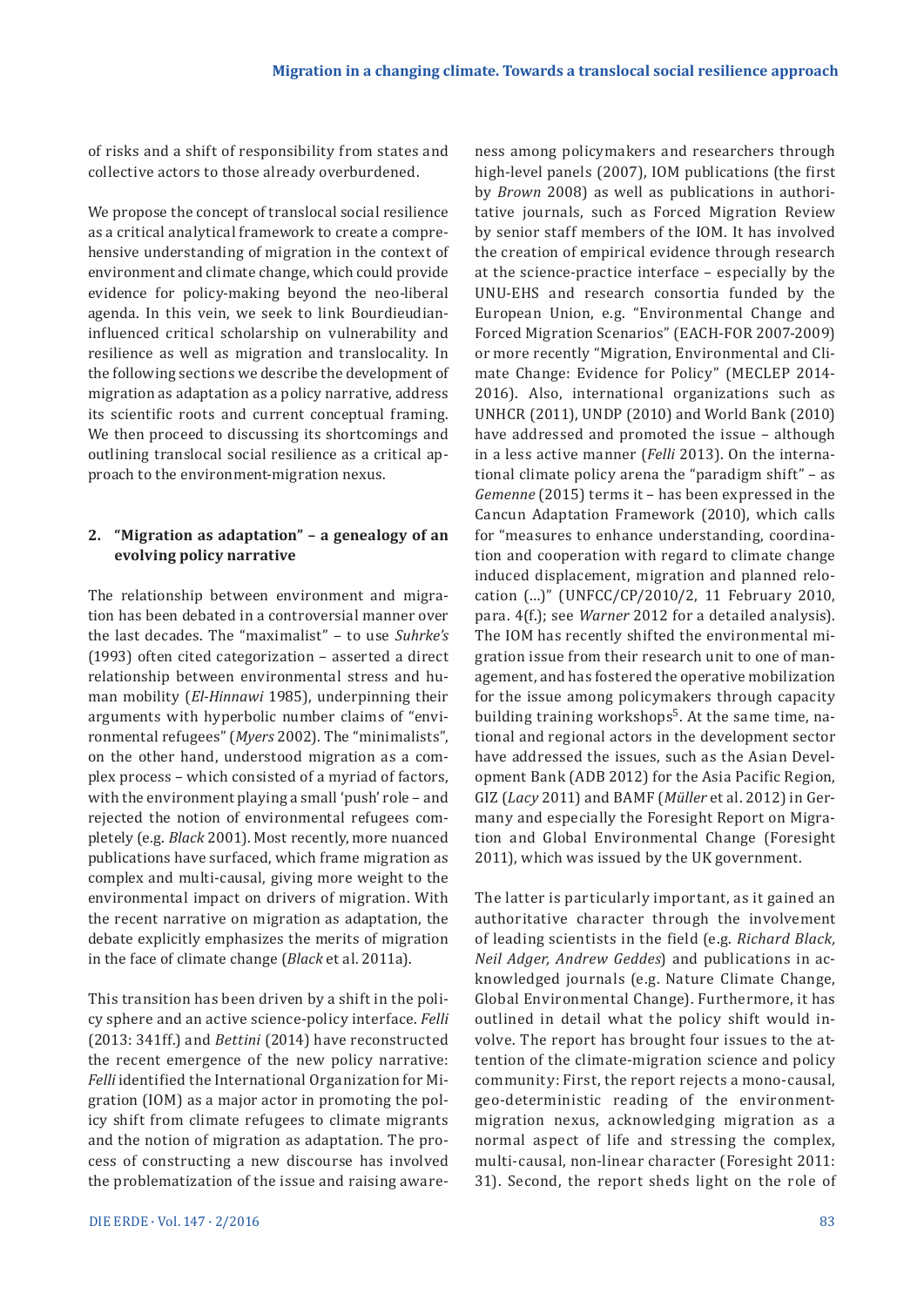of risks and a shift of responsibility from states and collective actors to those already overburdened.

We propose the concept of translocal social resilience as a critical analytical framework to create a comprehensive understanding of migration in the context of environment and climate change, which could provide evidence for policy-making beyond the neo-liberal agenda. In this vein, we seek to link Bourdieudianinfluenced critical scholarship on vulnerability and resilience as well as migration and translocality. In the following sections we describe the development of migration as adaptation as a policy narrative, address its scientific roots and current conceptual framing. We then proceed to discussing its shortcomings and outlining translocal social resilience as a critical approach to the environment-migration nexus.

## **2. "Migration as adaptation" – a genealogy of an evolving policy narrative**

The relationship between environment and migration has been debated in a controversial manner over the last decades. The "maximalist" – to use *Suhrke's*  (1993) often cited categorization – asserted a direct relationship between environmental stress and human mobility (*El-Hinnawi* 1985), underpinning their arguments with hyperbolic number claims of "environmental refugees" (*Myers* 2002). The "minimalists", on the other hand, understood migration as a complex process – which consisted of a myriad of factors, with the environment playing a small 'push' role – and rejected the notion of environmental refugees completely (e.g. *Black* 2001). Most recently, more nuanced publications have surfaced, which frame migration as complex and multi-causal, giving more weight to the environmental impact on drivers of migration. With the recent narrative on migration as adaptation, the debate explicitly emphasizes the merits of migration in the face of climate change (*Black* et al. 2011a).

This transition has been driven by a shift in the policy sphere and an active science-policy interface. *Felli*  (2013: 341ff.) and *Bettini* (2014) have reconstructed the recent emergence of the new policy narrative: *Felli* identified the International Organization for Migration (IOM) as a major actor in promoting the policy shift from climate refugees to climate migrants and the notion of migration as adaptation. The process of constructing a new discourse has involved the problematization of the issue and raising aware-

ness among policymakers and researchers through high-level panels (2007), IOM publications (the first by *Brown* 2008) as well as publications in authoritative journals, such as Forced Migration Review by senior staff members of the IOM. It has involved the creation of empirical evidence through research at the science-practice interface – especially by the UNU-EHS and research consortia funded by the European Union, e.g. "Environmental Change and Forced Migration Scenarios" (EACH-FOR 2007-2009) or more recently "Migration, Environmental and Climate Change: Evidence for Policy" (MECLEP 2014- 2016). Also, international organizations such as UNHCR (2011), UNDP (2010) and World Bank (2010) have addressed and promoted the issue – although in a less active manner (*Felli* 2013). On the international climate policy arena the "paradigm shift" – as *Gemenne* (2015) terms it – has been expressed in the Cancun Adaptation Framework (2010), which calls for "measures to enhance understanding, coordination and cooperation with regard to climate change induced displacement, migration and planned relocation (…)" (UNFCC/CP/2010/2, 11 February 2010, para. 4(f.); see *Warner* 2012 for a detailed analysis). The IOM has recently shifted the environmental migration issue from their research unit to one of management, and has fostered the operative mobilization for the issue among policymakers through capacity building training workshops<sup>5</sup>. At the same time, national and regional actors in the development sector have addressed the issues, such as the Asian Development Bank (ADB 2012) for the Asia Pacific Region, GIZ (*Lacy* 2011) and BAMF (*Müller* et al. 2012) in Germany and especially the Foresight Report on Migration and Global Environmental Change (Foresight 2011), which was issued by the UK government.

The latter is particularly important, as it gained an authoritative character through the involvement of leading scientists in the field (e.g. *Richard Black, Neil Adger, Andrew Geddes*) and publications in acknowledged journals (e.g. Nature Climate Change, Global Environmental Change). Furthermore, it has outlined in detail what the policy shift would involve. The report has brought four issues to the attention of the climate-migration science and policy community: First, the report rejects a mono-causal, geo-deterministic reading of the environmentmigration nexus, acknowledging migration as a normal aspect of life and stressing the complex, multi-causal, non-linear character (Foresight 2011: 31). Second, the report sheds light on the role of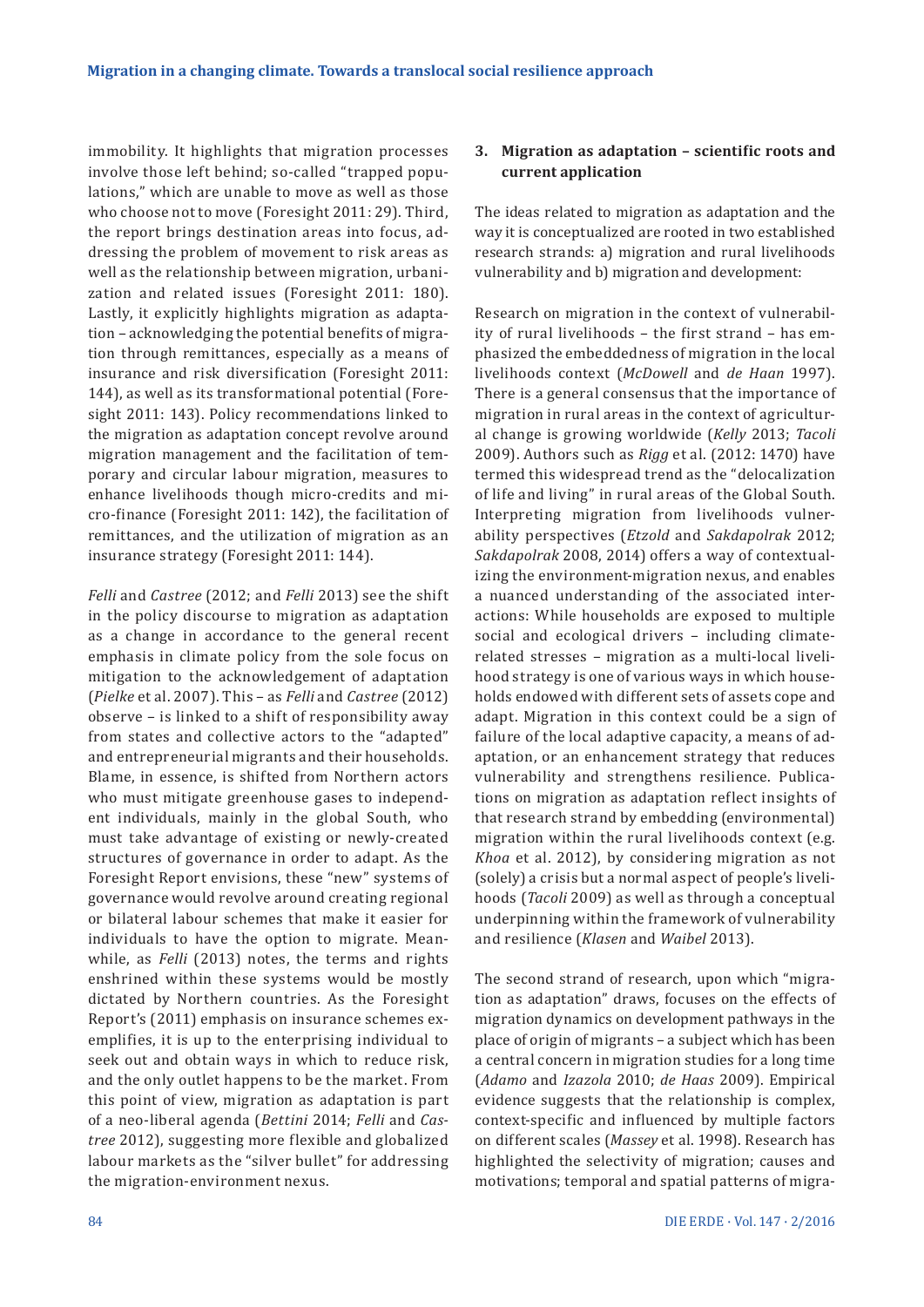immobility. It highlights that migration processes involve those left behind; so-called "trapped populations," which are unable to move as well as those who choose not to move (Foresight 2011: 29). Third, the report brings destination areas into focus, addressing the problem of movement to risk areas as well as the relationship between migration, urbanization and related issues (Foresight 2011: 180). Lastly, it explicitly highlights migration as adaptation – acknowledging the potential benefits of migration through remittances, especially as a means of insurance and risk diversification (Foresight 2011: 144), as well as its transformational potential (Foresight 2011: 143). Policy recommendations linked to the migration as adaptation concept revolve around migration management and the facilitation of temporary and circular labour migration, measures to enhance livelihoods though micro-credits and micro-finance (Foresight 2011: 142), the facilitation of remittances, and the utilization of migration as an insurance strategy (Foresight 2011: 144).

*Felli* and *Castree* (2012; and *Felli* 2013) see the shift in the policy discourse to migration as adaptation as a change in accordance to the general recent emphasis in climate policy from the sole focus on mitigation to the acknowledgement of adaptation (*Pielke* et al. 2007). This – as *Felli* and *Castree* (2012) observe – is linked to a shift of responsibility away from states and collective actors to the "adapted" and entrepreneurial migrants and their households. Blame, in essence, is shifted from Northern actors who must mitigate greenhouse gases to independent individuals, mainly in the global South, who must take advantage of existing or newly-created structures of governance in order to adapt. As the Foresight Report envisions, these "new" systems of governance would revolve around creating regional or bilateral labour schemes that make it easier for individuals to have the option to migrate. Meanwhile, as *Felli* (2013) notes, the terms and rights enshrined within these systems would be mostly dictated by Northern countries. As the Foresight Report's (2011) emphasis on insurance schemes exemplifies, it is up to the enterprising individual to seek out and obtain ways in which to reduce risk, and the only outlet happens to be the market. From this point of view, migration as adaptation is part of a neo-liberal agenda (*Bettini* 2014; *Felli* and *Castree* 2012), suggesting more flexible and globalized labour markets as the "silver bullet" for addressing the migration-environment nexus.

## **3. Migration as adaptation – scientific roots and current application**

The ideas related to migration as adaptation and the way it is conceptualized are rooted in two established research strands: a) migration and rural livelihoods vulnerability and b) migration and development:

Research on migration in the context of vulnerability of rural livelihoods – the first strand – has emphasized the embeddedness of migration in the local livelihoods context (*McDowell* and *de Haan* 1997). There is a general consensus that the importance of migration in rural areas in the context of agricultural change is growing worldwide (*Kelly* 2013; *Tacoli*  2009). Authors such as *Rigg* et al. (2012: 1470) have termed this widespread trend as the "delocalization of life and living" in rural areas of the Global South. Interpreting migration from livelihoods vulnerability perspectives (*Etzold* and *Sakdapolrak* 2012; *Sakdapolrak* 2008, 2014) offers a way of contextualizing the environment-migration nexus, and enables a nuanced understanding of the associated interactions: While households are exposed to multiple social and ecological drivers – including climaterelated stresses – migration as a multi-local livelihood strategy is one of various ways in which households endowed with different sets of assets cope and adapt. Migration in this context could be a sign of failure of the local adaptive capacity, a means of adaptation, or an enhancement strategy that reduces vulnerability and strengthens resilience. Publications on migration as adaptation reflect insights of that research strand by embedding (environmental) migration within the rural livelihoods context (e.g. *Khoa* et al. 2012), by considering migration as not (solely) a crisis but a normal aspect of people's livelihoods (*Tacoli* 2009) as well as through a conceptual underpinning within the framework of vulnerability and resilience (*Klasen* and *Waibel* 2013).

The second strand of research, upon which "migration as adaptation" draws, focuses on the effects of migration dynamics on development pathways in the place of origin of migrants – a subject which has been a central concern in migration studies for a long time (*Adamo* and *Izazola* 2010; *de Haas* 2009). Empirical evidence suggests that the relationship is complex, context-specific and influenced by multiple factors on different scales (*Massey* et al. 1998). Research has highlighted the selectivity of migration; causes and motivations; temporal and spatial patterns of migra-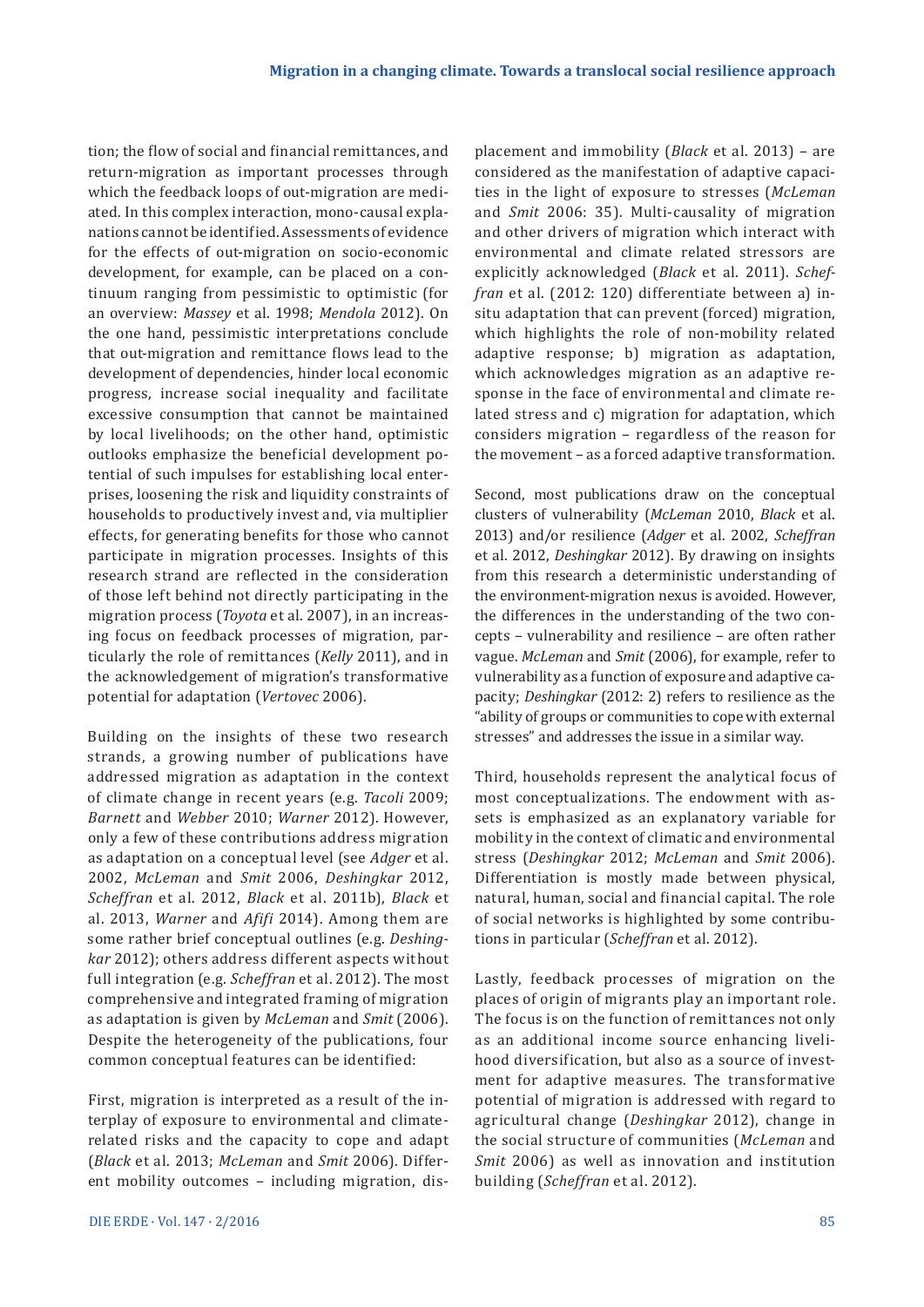tion; the flow of social and financial remittances, and return-migration as important processes through which the feedback loops of out-migration are mediated. In this complex interaction, mono-causal explanations cannot be identified. Assessments of evidence for the effects of out-migration on socio-economic development, for example, can be placed on a continuum ranging from pessimistic to optimistic (for an overview: *Massey* et al. 1998; *Mendola* 2012). On the one hand, pessimistic interpretations conclude that out-migration and remittance flows lead to the development of dependencies, hinder local economic progress, increase social inequality and facilitate excessive consumption that cannot be maintained by local livelihoods; on the other hand, optimistic outlooks emphasize the beneficial development potential of such impulses for establishing local enterprises, loosening the risk and liquidity constraints of households to productively invest and, via multiplier effects, for generating benefits for those who cannot participate in migration processes. Insights of this research strand are reflected in the consideration of those left behind not directly participating in the migration process (*Toyota* et al. 2007), in an increasing focus on feedback processes of migration, particularly the role of remittances (*Kelly* 2011), and in the acknowledgement of migration's transformative potential for adaptation (*Vertovec* 2006).

Building on the insights of these two research strands, a growing number of publications have addressed migration as adaptation in the context of climate change in recent years (e.g. *Tacoli* 2009; *Barnett* and *Webber* 2010; *Warner* 2012). However, only a few of these contributions address migration as adaptation on a conceptual level (see *Adger* et al. 2002, *McLeman* and *Smit* 2006, *Deshingkar* 2012, *Scheffran* et al. 2012, *Black* et al. 2011b), *Black* et al. 2013, *Warner* and *Afifi* 2014). Among them are some rather brief conceptual outlines (e.g. *Deshingkar* 2012); others address different aspects without full integration (e.g. *Scheffran* et al. 2012). The most comprehensive and integrated framing of migration as adaptation is given by *McLeman* and *Smit* (2006). Despite the heterogeneity of the publications, four common conceptual features can be identified:

First, migration is interpreted as a result of the interplay of exposure to environmental and climaterelated risks and the capacity to cope and adapt (*Black* et al. 2013; *McLeman* and *Smit* 2006). Different mobility outcomes – including migration, displacement and immobility (*Black* et al. 2013) – are considered as the manifestation of adaptive capacities in the light of exposure to stresses (*McLeman*  and *Smit* 2006: 35). Multi-causality of migration and other drivers of migration which interact with environmental and climate related stressors are explicitly acknowledged (*Black* et al. 2011). *Scheffran* et al. (2012: 120) differentiate between a) insitu adaptation that can prevent (forced) migration, which highlights the role of non-mobility related adaptive response; b) migration as adaptation, which acknowledges migration as an adaptive response in the face of environmental and climate related stress and c) migration for adaptation, which considers migration – regardless of the reason for the movement – as a forced adaptive transformation.

Second, most publications draw on the conceptual clusters of vulnerability (*McLeman* 2010, *Black* et al. 2013) and/or resilience (*Adger* et al. 2002, *Scheffran*  et al. 2012, *Deshingkar* 2012). By drawing on insights from this research a deterministic understanding of the environment-migration nexus is avoided. However, the differences in the understanding of the two concepts – vulnerability and resilience – are often rather vague. *McLeman* and *Smit* (2006), for example, refer to vulnerability as a function of exposure and adaptive capacity; *Deshingkar* (2012: 2) refers to resilience as the "ability of groups or communities to cope with external stresses" and addresses the issue in a similar way.

Third, households represent the analytical focus of most conceptualizations. The endowment with assets is emphasized as an explanatory variable for mobility in the context of climatic and environmental stress (*Deshingkar* 2012; *McLeman* and *Smit* 2006). Differentiation is mostly made between physical, natural, human, social and financial capital. The role of social networks is highlighted by some contributions in particular (*Scheffran* et al. 2012).

Lastly, feedback processes of migration on the places of origin of migrants play an important role. The focus is on the function of remittances not only as an additional income source enhancing livelihood diversification, but also as a source of investment for adaptive measures. The transformative potential of migration is addressed with regard to agricultural change (*Deshingkar* 2012), change in the social structure of communities (*McLeman* and *Smit* 2006) as well as innovation and institution building (*Scheffran* et al. 2012).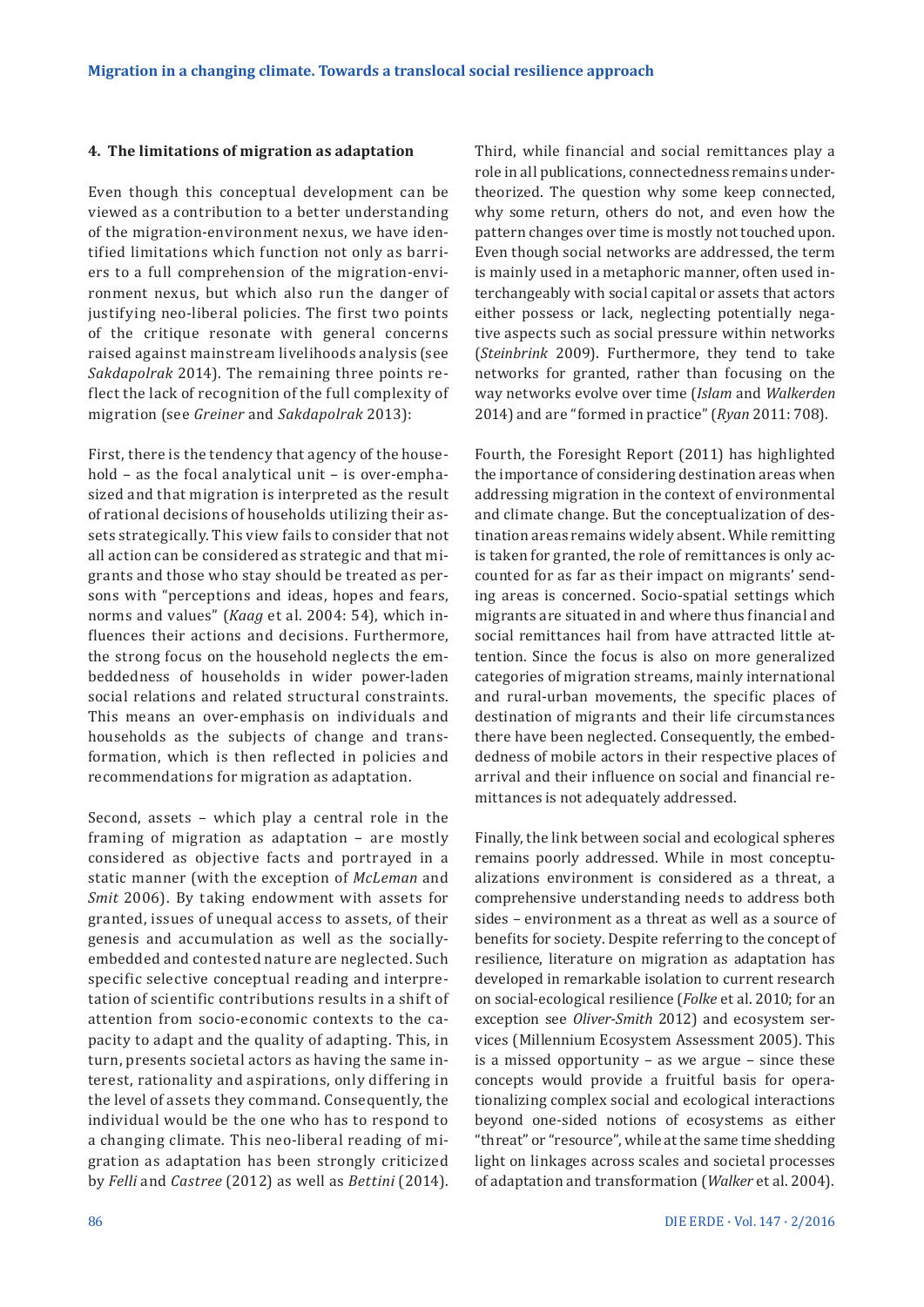#### **4. The limitations of migration as adaptation**

Even though this conceptual development can be viewed as a contribution to a better understanding of the migration-environment nexus, we have identified limitations which function not only as barriers to a full comprehension of the migration-environment nexus, but which also run the danger of justifying neo-liberal policies. The first two points of the critique resonate with general concerns raised against mainstream livelihoods analysis (see *Sakdapolrak* 2014). The remaining three points reflect the lack of recognition of the full complexity of migration (see *Greiner* and *Sakdapolrak* 2013):

First, there is the tendency that agency of the household – as the focal analytical unit – is over-emphasized and that migration is interpreted as the result of rational decisions of households utilizing their assets strategically. This view fails to consider that not all action can be considered as strategic and that migrants and those who stay should be treated as persons with "perceptions and ideas, hopes and fears, norms and values" (*Kaag* et al. 2004: 54), which influences their actions and decisions. Furthermore, the strong focus on the household neglects the embeddedness of households in wider power-laden social relations and related structural constraints. This means an over-emphasis on individuals and households as the subjects of change and transformation, which is then reflected in policies and recommendations for migration as adaptation.

Second, assets – which play a central role in the framing of migration as adaptation – are mostly considered as objective facts and portrayed in a static manner (with the exception of *McLeman* and *Smit* 2006). By taking endowment with assets for granted, issues of unequal access to assets, of their genesis and accumulation as well as the sociallyembedded and contested nature are neglected. Such specific selective conceptual reading and interpretation of scientific contributions results in a shift of attention from socio-economic contexts to the capacity to adapt and the quality of adapting. This, in turn, presents societal actors as having the same interest, rationality and aspirations, only differing in the level of assets they command. Consequently, the individual would be the one who has to respond to a changing climate. This neo-liberal reading of migration as adaptation has been strongly criticized by *Felli* and *Castree* (2012) as well as *Bettini* (2014).

Third, while financial and social remittances play a role in all publications, connectedness remains undertheorized. The question why some keep connected, why some return, others do not, and even how the pattern changes over time is mostly not touched upon. Even though social networks are addressed, the term is mainly used in a metaphoric manner, often used interchangeably with social capital or assets that actors either possess or lack, neglecting potentially negative aspects such as social pressure within networks (*Steinbrink* 2009). Furthermore, they tend to take networks for granted, rather than focusing on the way networks evolve over time (*Islam* and *Walkerden*  2014) and are "formed in practice" (*Ryan* 2011: 708).

Fourth, the Foresight Report (2011) has highlighted the importance of considering destination areas when addressing migration in the context of environmental and climate change. But the conceptualization of destination areas remains widely absent. While remitting is taken for granted, the role of remittances is only accounted for as far as their impact on migrants' sending areas is concerned. Socio-spatial settings which migrants are situated in and where thus financial and social remittances hail from have attracted little attention. Since the focus is also on more generalized categories of migration streams, mainly international and rural-urban movements, the specific places of destination of migrants and their life circumstances there have been neglected. Consequently, the embeddedness of mobile actors in their respective places of arrival and their influence on social and financial remittances is not adequately addressed.

Finally, the link between social and ecological spheres remains poorly addressed. While in most conceptualizations environment is considered as a threat, a comprehensive understanding needs to address both sides – environment as a threat as well as a source of benefits for society. Despite referring to the concept of resilience, literature on migration as adaptation has developed in remarkable isolation to current research on social-ecological resilience (*Folke* et al. 2010; for an exception see *Oliver-Smith* 2012) and ecosystem services (Millennium Ecosystem Assessment 2005). This is a missed opportunity – as we argue – since these concepts would provide a fruitful basis for operationalizing complex social and ecological interactions beyond one-sided notions of ecosystems as either "threat" or "resource", while at the same time shedding light on linkages across scales and societal processes of adaptation and transformation (*Walker* et al. 2004).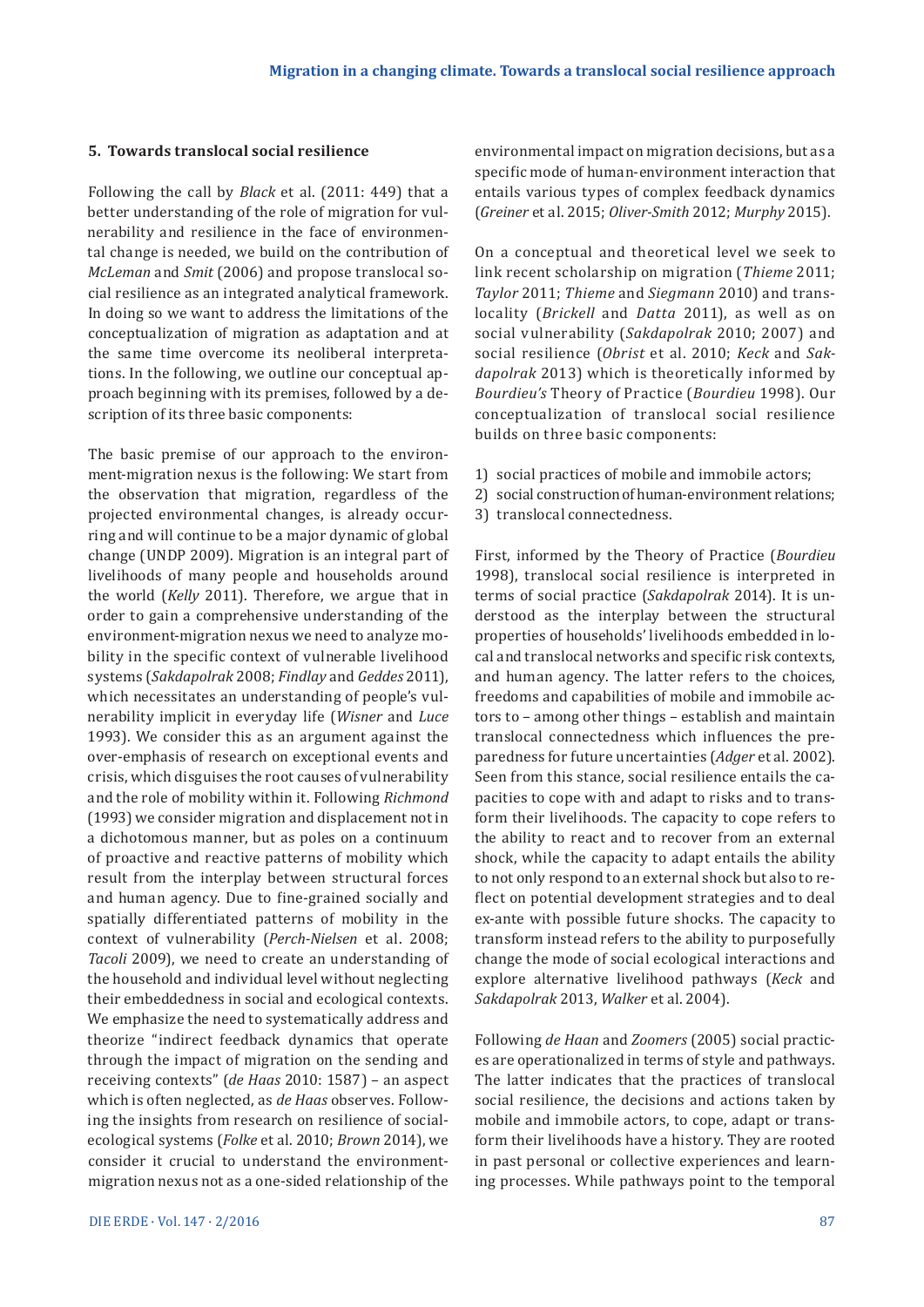#### **5. Towards translocal social resilience**

Following the call by *Black* et al. (2011: 449) that a better understanding of the role of migration for vulnerability and resilience in the face of environmental change is needed, we build on the contribution of *McLeman* and *Smit* (2006) and propose translocal social resilience as an integrated analytical framework. In doing so we want to address the limitations of the conceptualization of migration as adaptation and at the same time overcome its neoliberal interpretations. In the following, we outline our conceptual approach beginning with its premises, followed by a description of its three basic components:

The basic premise of our approach to the environment-migration nexus is the following: We start from the observation that migration, regardless of the projected environmental changes, is already occurring and will continue to be a major dynamic of global change (UNDP 2009). Migration is an integral part of livelihoods of many people and households around the world (*Kelly* 2011). Therefore, we argue that in order to gain a comprehensive understanding of the environment-migration nexus we need to analyze mobility in the specific context of vulnerable livelihood systems (*Sakdapolrak* 2008; *Findlay* and *Geddes* 2011), which necessitates an understanding of people's vulnerability implicit in everyday life (*Wisner* and *Luce*  1993). We consider this as an argument against the over-emphasis of research on exceptional events and crisis, which disguises the root causes of vulnerability and the role of mobility within it. Following *Richmond*  (1993) we consider migration and displacement not in a dichotomous manner, but as poles on a continuum of proactive and reactive patterns of mobility which result from the interplay between structural forces and human agency. Due to fine-grained socially and spatially differentiated patterns of mobility in the context of vulnerability (*Perch-Nielsen* et al. 2008; *Tacoli* 2009), we need to create an understanding of the household and individual level without neglecting their embeddedness in social and ecological contexts. We emphasize the need to systematically address and theorize "indirect feedback dynamics that operate through the impact of migration on the sending and receiving contexts" (*de Haas* 2010: 1587) – an aspect which is often neglected, as *de Haas* observes. Following the insights from research on resilience of socialecological systems (*Folke* et al. 2010; *Brown* 2014), we consider it crucial to understand the environmentmigration nexus not as a one-sided relationship of the

environmental impact on migration decisions, but as a specific mode of human-environment interaction that entails various types of complex feedback dynamics (*Greiner* et al. 2015; *Oliver-Smith* 2012; *Murphy* 2015).

On a conceptual and theoretical level we seek to link recent scholarship on migration (*Thieme* 2011; *Taylor* 2011; *Thieme* and *Siegmann* 2010) and translocality (*Brickell* and *Datta* 2011), as well as on social vulnerability (*Sakdapolrak* 2010; 2007) and social resilience (*Obrist* et al. 2010; *Keck* and *Sakdapolrak* 2013) which is theoretically informed by *Bourdieu's* Theory of Practice (*Bourdieu* 1998). Our conceptualization of translocal social resilience builds on three basic components:

- 1) social practices of mobile and immobile actors;
- 2) social construction of human-environment relations;
- 3) translocal connectedness.

First, informed by the Theory of Practice (*Bourdieu*  1998), translocal social resilience is interpreted in terms of social practice (*Sakdapolrak* 2014). It is understood as the interplay between the structural properties of households' livelihoods embedded in local and translocal networks and specific risk contexts, and human agency. The latter refers to the choices, freedoms and capabilities of mobile and immobile actors to – among other things – establish and maintain translocal connectedness which influences the preparedness for future uncertainties (*Adger* et al. 2002). Seen from this stance, social resilience entails the capacities to cope with and adapt to risks and to transform their livelihoods. The capacity to cope refers to the ability to react and to recover from an external shock, while the capacity to adapt entails the ability to not only respond to an external shock but also to reflect on potential development strategies and to deal ex-ante with possible future shocks. The capacity to transform instead refers to the ability to purposefully change the mode of social ecological interactions and explore alternative livelihood pathways (*Keck* and *Sakdapolrak* 2013, *Walker* et al. 2004).

Following *de Haan* and *Zoomers* (2005) social practices are operationalized in terms of style and pathways. The latter indicates that the practices of translocal social resilience, the decisions and actions taken by mobile and immobile actors, to cope, adapt or transform their livelihoods have a history. They are rooted in past personal or collective experiences and learning processes. While pathways point to the temporal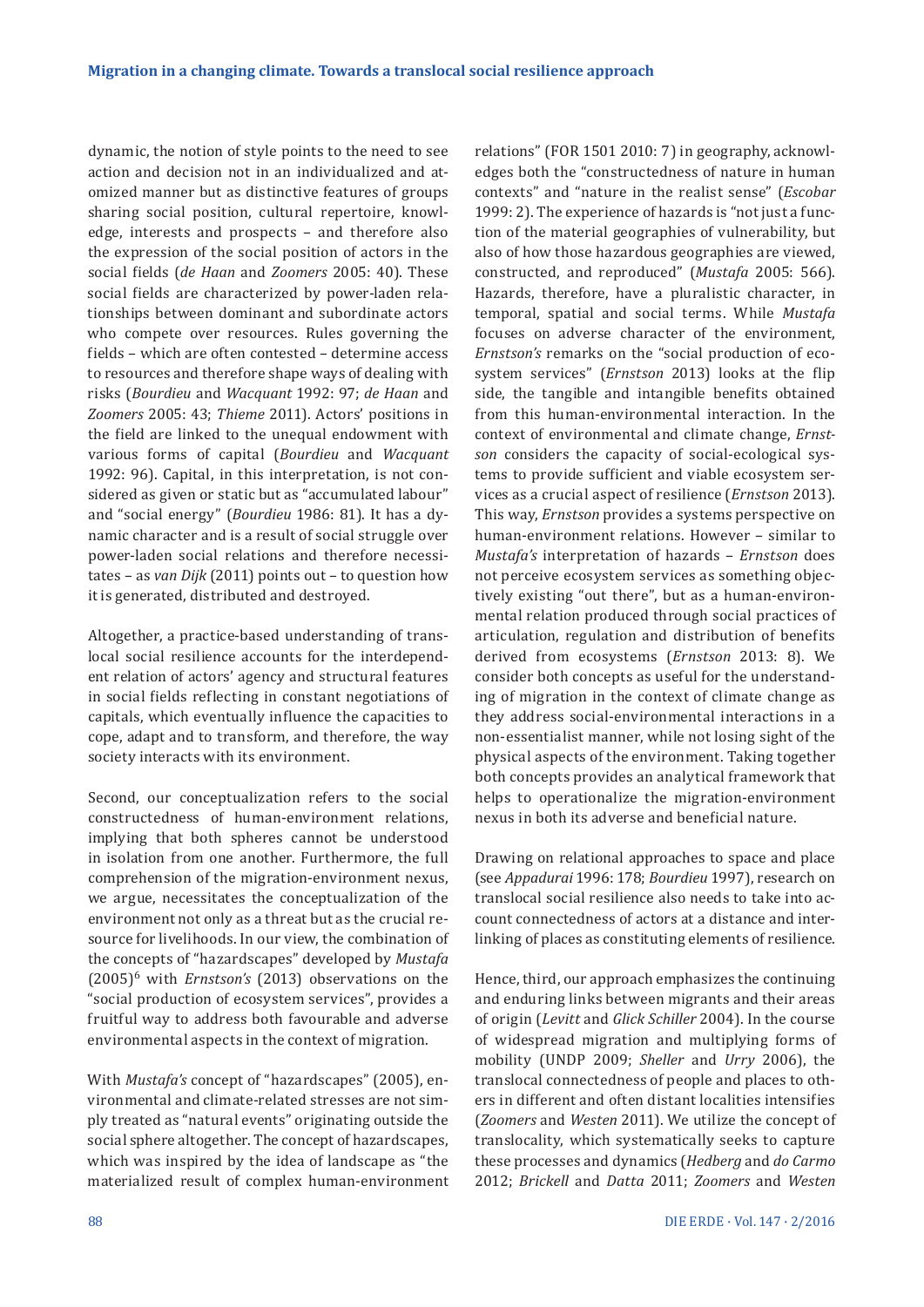dynamic, the notion of style points to the need to see action and decision not in an individualized and atomized manner but as distinctive features of groups sharing social position, cultural repertoire, knowledge, interests and prospects – and therefore also the expression of the social position of actors in the social fields (*de Haan* and *Zoomers* 2005: 40). These social fields are characterized by power-laden relationships between dominant and subordinate actors who compete over resources. Rules governing the fields – which are often contested – determine access to resources and therefore shape ways of dealing with risks (*Bourdieu* and *Wacquant* 1992: 97; *de Haan* and *Zoomers* 2005: 43; *Thieme* 2011). Actors' positions in the field are linked to the unequal endowment with various forms of capital (*Bourdieu* and *Wacquant* 1992: 96). Capital, in this interpretation, is not considered as given or static but as "accumulated labour" and "social energy" (*Bourdieu* 1986: 81). It has a dynamic character and is a result of social struggle over power-laden social relations and therefore necessitates – as *van Dijk* (2011) points out – to question how it is generated, distributed and destroyed.

Altogether, a practice-based understanding of translocal social resilience accounts for the interdependent relation of actors' agency and structural features in social fields reflecting in constant negotiations of capitals, which eventually influence the capacities to cope, adapt and to transform, and therefore, the way society interacts with its environment.

Second, our conceptualization refers to the social constructedness of human-environment relations, implying that both spheres cannot be understood in isolation from one another. Furthermore, the full comprehension of the migration-environment nexus, we argue, necessitates the conceptualization of the environment not only as a threat but as the crucial resource for livelihoods. In our view, the combination of the concepts of "hazardscapes" developed by *Mustafa*  (2005)6 with *Ernstson's* (2013) observations on the "social production of ecosystem services", provides a fruitful way to address both favourable and adverse environmental aspects in the context of migration.

With *Mustafa's* concept of "hazardscapes" (2005), environmental and climate-related stresses are not simply treated as "natural events" originating outside the social sphere altogether. The concept of hazardscapes, which was inspired by the idea of landscape as "the materialized result of complex human-environment relations" (FOR 1501 2010: 7) in geography, acknowledges both the "constructedness of nature in human contexts" and "nature in the realist sense" (*Escobar*  1999: 2). The experience of hazards is "not just a function of the material geographies of vulnerability, but also of how those hazardous geographies are viewed, constructed, and reproduced" (*Mustafa* 2005: 566). Hazards, therefore, have a pluralistic character, in temporal, spatial and social terms. While *Mustafa*  focuses on adverse character of the environment, *Ernstson's* remarks on the "social production of ecosystem services" (*Ernstson* 2013) looks at the flip side, the tangible and intangible benefits obtained from this human-environmental interaction. In the context of environmental and climate change, *Ernstson* considers the capacity of social-ecological systems to provide sufficient and viable ecosystem services as a crucial aspect of resilience (*Ernstson* 2013). This way, *Ernstson* provides a systems perspective on human-environment relations. However – similar to *Mustafa's* interpretation of hazards – *Ernstson* does not perceive ecosystem services as something objectively existing "out there", but as a human-environmental relation produced through social practices of articulation, regulation and distribution of benefits derived from ecosystems (*Ernstson* 2013: 8). We consider both concepts as useful for the understanding of migration in the context of climate change as they address social-environmental interactions in a non-essentialist manner, while not losing sight of the physical aspects of the environment. Taking together both concepts provides an analytical framework that helps to operationalize the migration-environment nexus in both its adverse and beneficial nature.

Drawing on relational approaches to space and place (see *Appadurai* 1996: 178; *Bourdieu* 1997), research on translocal social resilience also needs to take into account connectedness of actors at a distance and interlinking of places as constituting elements of resilience.

Hence, third, our approach emphasizes the continuing and enduring links between migrants and their areas of origin (*Levitt* and *Glick Schiller* 2004). In the course of widespread migration and multiplying forms of mobility (UNDP 2009; *Sheller* and *Urry* 2006), the translocal connectedness of people and places to others in different and often distant localities intensifies (*Zoomers* and *Westen* 2011). We utilize the concept of translocality, which systematically seeks to capture these processes and dynamics (*Hedberg* and *do Carmo*  2012; *Brickell* and *Datta* 2011; *Zoomers* and *Westen*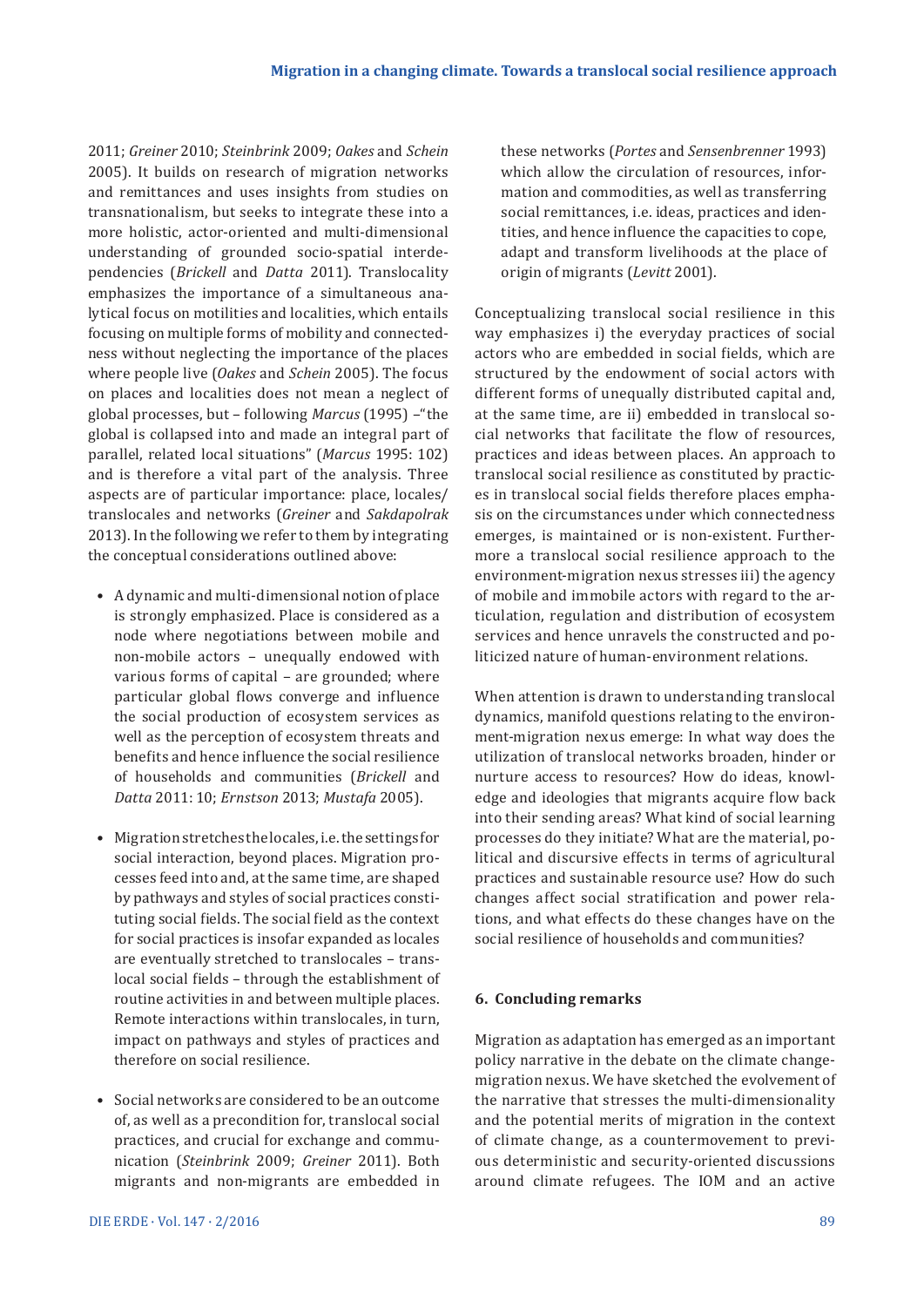2011; *Greiner* 2010; *Steinbrink* 2009; *Oakes* and *Schein*  2005). It builds on research of migration networks and remittances and uses insights from studies on transnationalism, but seeks to integrate these into a more holistic, actor-oriented and multi-dimensional understanding of grounded socio-spatial interdependencies (*Brickell* and *Datta* 2011). Translocality emphasizes the importance of a simultaneous analytical focus on motilities and localities, which entails focusing on multiple forms of mobility and connectedness without neglecting the importance of the places where people live (*Oakes* and *Schein* 2005). The focus on places and localities does not mean a neglect of global processes, but – following *Marcus* (1995) –"the global is collapsed into and made an integral part of parallel, related local situations" (*Marcus* 1995: 102) and is therefore a vital part of the analysis. Three aspects are of particular importance: place, locales/ translocales and networks (*Greiner* and *Sakdapolrak*  2013). In the following we refer to them by integrating the conceptual considerations outlined above:

- A dynamic and multi-dimensional notion of place is strongly emphasized. Place is considered as a node where negotiations between mobile and non-mobile actors – unequally endowed with various forms of capital – are grounded; where particular global flows converge and influence the social production of ecosystem services as well as the perception of ecosystem threats and benefits and hence influence the social resilience of households and communities (*Brickell* and *Datta* 2011: 10; *Ernstson* 2013; *Mustafa* 2005).
- Migration stretches the locales, i.e. the settings for social interaction, beyond places. Migration processes feed into and, at the same time, are shaped by pathways and styles of social practices constituting social fields. The social field as the context for social practices is insofar expanded as locales are eventually stretched to translocales – translocal social fields – through the establishment of routine activities in and between multiple places. Remote interactions within translocales, in turn, impact on pathways and styles of practices and therefore on social resilience.
- Social networks are considered to be an outcome of, as well as a precondition for, translocal social practices, and crucial for exchange and communication (*Steinbrink* 2009; *Greiner* 2011). Both migrants and non-migrants are embedded in

these networks (*Portes* and *Sensenbrenner* 1993) which allow the circulation of resources, information and commodities, as well as transferring social remittances, i.e. ideas, practices and identities, and hence influence the capacities to cope, adapt and transform livelihoods at the place of origin of migrants (*Levitt* 2001).

Conceptualizing translocal social resilience in this way emphasizes i) the everyday practices of social actors who are embedded in social fields, which are structured by the endowment of social actors with different forms of unequally distributed capital and, at the same time, are ii) embedded in translocal social networks that facilitate the flow of resources, practices and ideas between places. An approach to translocal social resilience as constituted by practices in translocal social fields therefore places emphasis on the circumstances under which connectedness emerges, is maintained or is non-existent. Furthermore a translocal social resilience approach to the environment-migration nexus stresses iii) the agency of mobile and immobile actors with regard to the articulation, regulation and distribution of ecosystem services and hence unravels the constructed and politicized nature of human-environment relations.

When attention is drawn to understanding translocal dynamics, manifold questions relating to the environment-migration nexus emerge: In what way does the utilization of translocal networks broaden, hinder or nurture access to resources? How do ideas, knowledge and ideologies that migrants acquire flow back into their sending areas? What kind of social learning processes do they initiate? What are the material, political and discursive effects in terms of agricultural practices and sustainable resource use? How do such changes affect social stratification and power relations, and what effects do these changes have on the social resilience of households and communities?

## **6. Concluding remarks**

Migration as adaptation has emerged as an important policy narrative in the debate on the climate changemigration nexus. We have sketched the evolvement of the narrative that stresses the multi-dimensionality and the potential merits of migration in the context of climate change, as a countermovement to previous deterministic and security-oriented discussions around climate refugees. The IOM and an active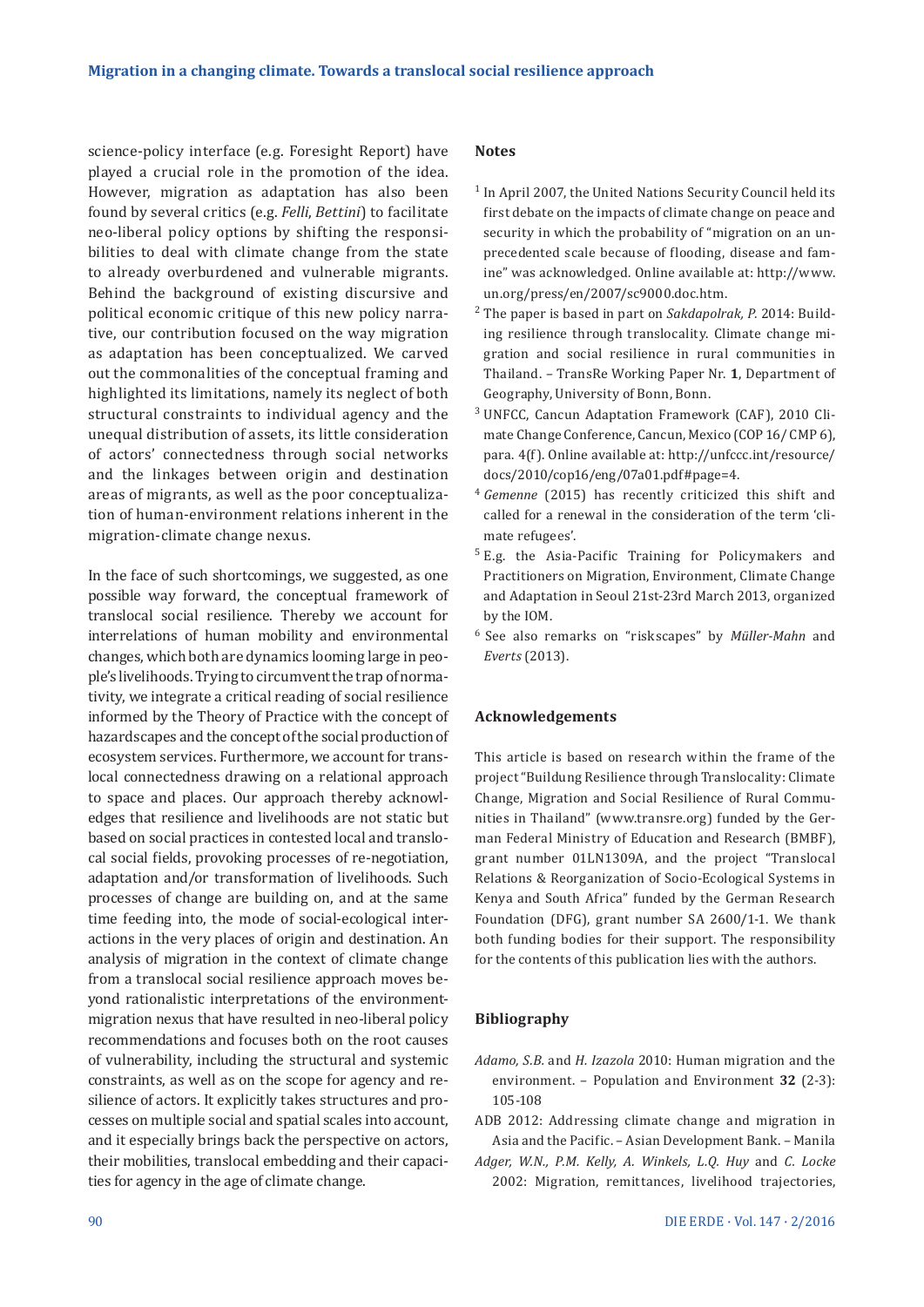science-policy interface (e.g. Foresight Report) have played a crucial role in the promotion of the idea. However, migration as adaptation has also been found by several critics (e.g. *Felli*, *Bettini*) to facilitate neo-liberal policy options by shifting the responsibilities to deal with climate change from the state to already overburdened and vulnerable migrants. Behind the background of existing discursive and political economic critique of this new policy narrative, our contribution focused on the way migration as adaptation has been conceptualized. We carved out the commonalities of the conceptual framing and highlighted its limitations, namely its neglect of both structural constraints to individual agency and the unequal distribution of assets, its little consideration of actors' connectedness through social networks and the linkages between origin and destination areas of migrants, as well as the poor conceptualization of human-environment relations inherent in the migration-climate change nexus.

In the face of such shortcomings, we suggested, as one possible way forward, the conceptual framework of translocal social resilience. Thereby we account for interrelations of human mobility and environmental changes, which both are dynamics looming large in people's livelihoods. Trying to circumvent the trap of normativity, we integrate a critical reading of social resilience informed by the Theory of Practice with the concept of hazardscapes and the concept of the social production of ecosystem services. Furthermore, we account for translocal connectedness drawing on a relational approach to space and places. Our approach thereby acknowledges that resilience and livelihoods are not static but based on social practices in contested local and translocal social fields, provoking processes of re-negotiation, adaptation and/or transformation of livelihoods. Such processes of change are building on, and at the same time feeding into, the mode of social-ecological interactions in the very places of origin and destination. An analysis of migration in the context of climate change from a translocal social resilience approach moves beyond rationalistic interpretations of the environmentmigration nexus that have resulted in neo-liberal policy recommendations and focuses both on the root causes of vulnerability, including the structural and systemic constraints, as well as on the scope for agency and resilience of actors. It explicitly takes structures and processes on multiple social and spatial scales into account, and it especially brings back the perspective on actors, their mobilities, translocal embedding and their capacities for agency in the age of climate change.

#### **Notes**

- <sup>1</sup> In April 2007, the United Nations Security Council held its first debate on the impacts of climate change on peace and security in which the probability of "migration on an unprecedented scale because of flooding, disease and famine" was acknowledged. Online available at: http://www. un.org/press/en/2007/sc9000.doc.htm.
- <sup>2</sup> The paper is based in part on *Sakdapolrak, P.* 2014: Building resilience through translocality. Climate change migration and social resilience in rural communities in Thailand. – TransRe Working Paper Nr. **1**, Department of Geography, University of Bonn, Bonn.
- <sup>3</sup> UNFCC, Cancun Adaptation Framework (CAF), 2010 Climate Change Conference, Cancun, Mexico (COP 16/ CMP 6), para. 4(f). Online available at: http://unfccc.int/resource/ docs/2010/cop16/eng/07a01.pdf#page=4.
- <sup>4</sup> *Gemenne* (2015) has recently criticized this shift and called for a renewal in the consideration of the term 'climate refugees'.
- <sup>5</sup> E.g. the Asia-Pacific Training for Policymakers and Practitioners on Migration, Environment, Climate Change and Adaptation in Seoul 21st-23rd March 2013, organized by the IOM.
- <sup>6</sup>See also remarks on "riskscapes" by *Müller-Mahn* and *Everts* (2013).

#### **Acknowledgements**

This article is based on research within the frame of the project "Buildung Resilience through Translocality: Climate Change, Migration and Social Resilience of Rural Communities in Thailand" (www.transre.org) funded by the German Federal Ministry of Education and Research (BMBF), grant number 01LN1309A, and the project "Translocal Relations & Reorganization of Socio-Ecological Systems in Kenya and South Africa" funded by the German Research Foundation (DFG), grant number SA 2600/1-1. We thank both funding bodies for their support. The responsibility for the contents of this publication lies with the authors.

#### **Bibliography**

- *Adamo, S.B.* and *H. Izazola* 2010: Human migration and the environment. – Population and Environment **32** (2-3): 105-108
- ADB 2012: Addressing climate change and migration in Asia and the Pacific. – Asian Development Bank. – Manila
- *Adger, W.N., P.M. Kelly, A. Winkels, L.Q. Huy* and *C. Locke*  2002: Migration, remittances, livelihood trajectories,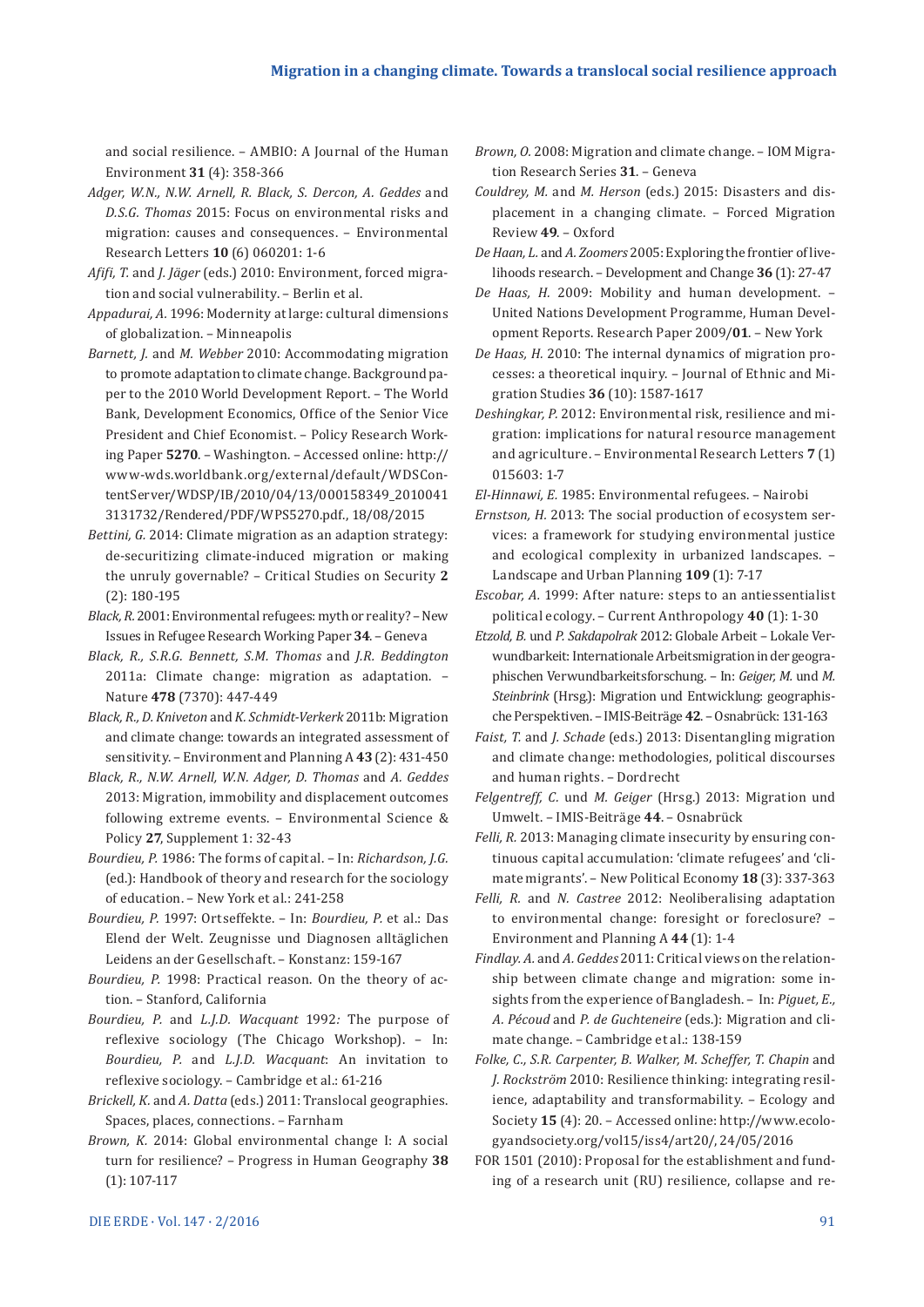and social resilience. – AMBIO: A Journal of the Human Environment **31** (4): 358-366

- *Adger, W.N., N.W. Arnell, R. Black, S. Dercon, A. Geddes* and *D.S.G. Thomas* 2015: Focus on environmental risks and migration: causes and consequences. – Environmental Research Letters **10** (6) 060201: 1-6
- *Afifi, T.* and *J. Jäger* (eds.) 2010: Environment, forced migration and social vulnerability. – Berlin et al.
- *Appadurai, A.* 1996: Modernity at large: cultural dimensions of globalization. – Minneapolis
- *Barnett, J.* and *M. Webber* 2010: Accommodating migration to promote adaptation to climate change. Background paper to the 2010 World Development Report. – The World Bank, Development Economics, Office of the Senior Vice President and Chief Economist. – Policy Research Working Paper **5270**. – Washington. – Accessed online: http:// www-wds.worldbank.org/external/default/WDSContentServer/WDSP/IB/2010/04/13/000158349\_2010041 3131732/Rendered/PDF/WPS5270.pdf., 18/08/2015
- *Bettini, G.* 2014: Climate migration as an adaption strategy: de-securitizing climate-induced migration or making the unruly governable? – Critical Studies on Security **2** (2): 180-195
- *Black, R.* 2001: Environmental refugees: myth or reality? New Issues in Refugee Research Working Paper **34**. – Geneva
- *Black, R., S.R.G. Bennett, S.M. Thomas* and *J.R. Beddington*  2011a: Climate change: migration as adaptation. – Nature **478** (7370): 447-449
- *Black, R., D. Kniveton* and *K. Schmidt-Verkerk* 2011b: Migration and climate change: towards an integrated assessment of sensitivity. – Environment and Planning A **43** (2): 431-450
- *Black, R., N.W. Arnell, W.N. Adger, D. Thomas* and *A. Geddes*  2013: Migration, immobility and displacement outcomes following extreme events. – Environmental Science & Policy **27**, Supplement 1: 32-43
- *Bourdieu, P.* 1986: The forms of capital. In: *Richardson, J.G.*  (ed.): Handbook of theory and research for the sociology of education. – New York et al.: 241-258
- *Bourdieu, P.* 1997: Ortseffekte. In: *Bourdieu, P.* et al.: Das Elend der Welt. Zeugnisse und Diagnosen alltäglichen Leidens an der Gesellschaft. – Konstanz: 159-167
- *Bourdieu, P.* 1998: Practical reason. On the theory of action. – Stanford, California
- *Bourdieu, P.* and *L.J.D. Wacquant* 1992*:* The purpose of reflexive sociology (The Chicago Workshop). – In: *Bourdieu, P.* and *L.J.D. Wacquant*: An invitation to reflexive sociology. – Cambridge et al.: 61-216
- *Brickell, K.* and *A. Datta* (eds.) 2011: Translocal geographies. Spaces, places, connections. – Farnham
- *Brown, K.* 2014: Global environmental change I: A social turn for resilience? – Progress in Human Geography **38**  (1): 107-117
- *Brown, O.* 2008: Migration and climate change. IOM Migration Research Series **31**. – Geneva
- *Couldrey, M.* and *M. Herson* (eds.) 2015: Disasters and displacement in a changing climate. – Forced Migration Review **49**. – Oxford
- *De Haan, L.* and *A. Zoomers* 2005: Exploring the frontier of livelihoods research. – Development and Change **36** (1): 27-47
- *De Haas, H.* 2009: Mobility and human development. United Nations Development Programme, Human Development Reports. Research Paper 2009/**01**. – New York
- *De Haas, H.* 2010: The internal dynamics of migration processes: a theoretical inquiry. – Journal of Ethnic and Migration Studies **36** (10): 1587-1617
- *Deshingkar, P.* 2012: Environmental risk, resilience and migration: implications for natural resource management and agriculture. – Environmental Research Letters **7** (1) 015603: 1-7
- *El-Hinnawi, E.* 1985: Environmental refugees. Nairobi
- *Ernstson, H.* 2013: The social production of ecosystem services: a framework for studying environmental justice and ecological complexity in urbanized landscapes. – Landscape and Urban Planning **109** (1): 7-17
- *Escobar, A.* 1999: After nature: steps to an antiessentialist political ecology. – Current Anthropology **40** (1): 1-30
- *Etzold, B.* und *P. Sakdapolrak* 2012: Globale Arbeit Lokale Verwundbarkeit: Internationale Arbeitsmigration in der geographischen Verwundbarkeitsforschung. – In: *Geiger, M.* und *M. Steinbrink* (Hrsg.): Migration und Entwicklung: geographische Perspektiven. – IMIS-Beiträge **42**. – Osnabrück: 131-163
- *Faist, T.* and *J. Schade* (eds.) 2013: Disentangling migration and climate change: methodologies, political discourses and human rights. – Dordrecht
- *Felgentreff, C.* und *M. Geiger* (Hrsg.) 2013: Migration und Umwelt. – IMIS-Beiträge **44**. – Osnabrück
- *Felli, R.* 2013: Managing climate insecurity by ensuring continuous capital accumulation: 'climate refugees' and 'climate migrants'. – New Political Economy **18** (3): 337-363
- *Felli, R.* and *N. Castree* 2012: Neoliberalising adaptation to environmental change: foresight or foreclosure? – Environment and Planning A **44** (1): 1-4
- *Findlay. A.* and *A. Geddes* 2011: Critical views on the relationship between climate change and migration: some insights from the experience of Bangladesh. – In: *Piguet, E., A. Pécoud* and *P. de Guchteneire* (eds.): Migration and climate change. – Cambridge et al.: 138-159
- *Folke, C., S.R. Carpenter, B. Walker, M. Scheffer, T. Chapin* and *J. Rockström* 2010: Resilience thinking: integrating resilience, adaptability and transformability. – Ecology and Society **15** (4): 20. – Accessed online: http://www.ecologyandsociety.org/vol15/iss4/art20/, 24/05/2016
- FOR 1501 (2010): Proposal for the establishment and funding of a research unit (RU) resilience, collapse and re-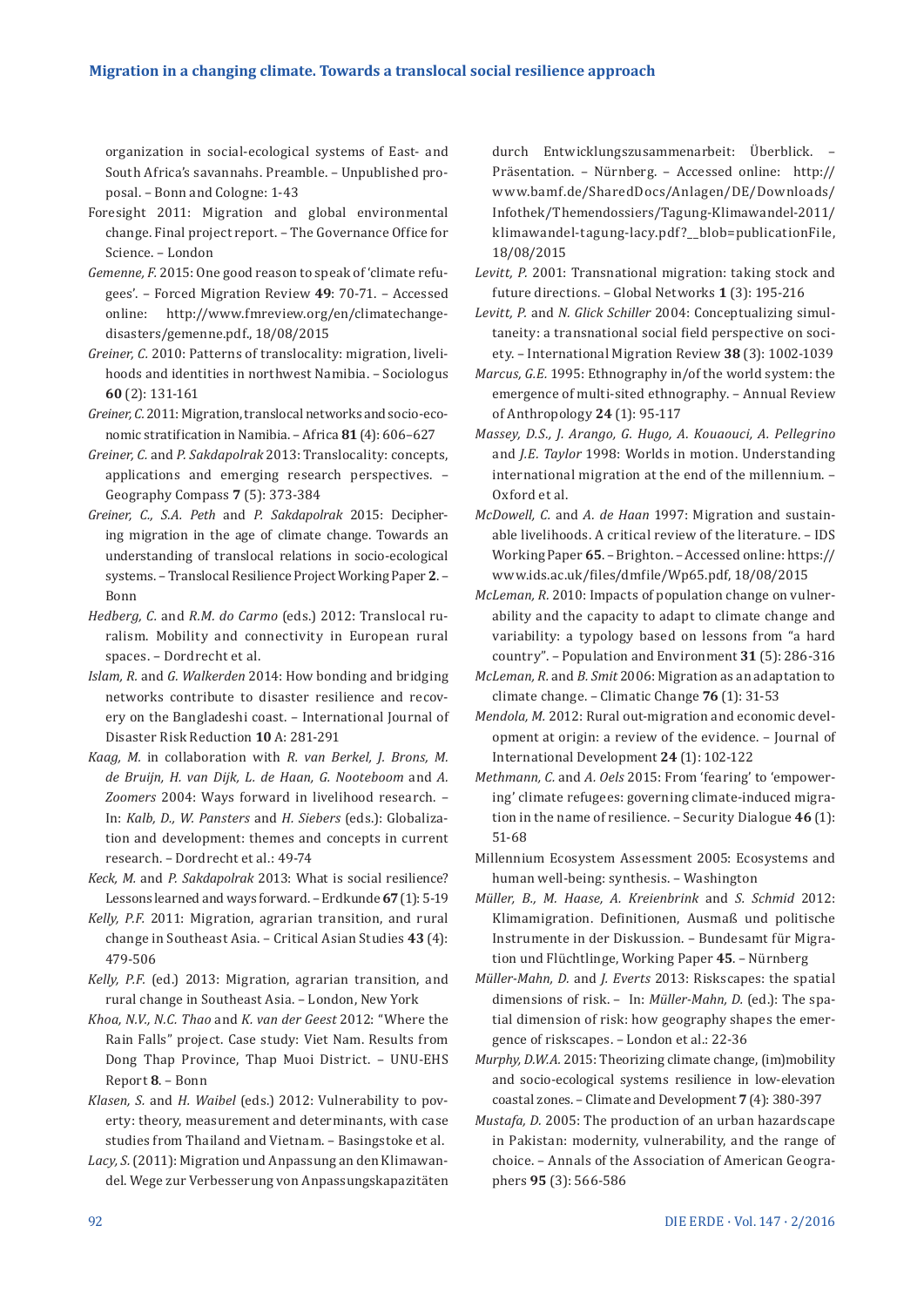organization in social-ecological systems of East- and South Africa's savannahs. Preamble. – Unpublished proposal. – Bonn and Cologne: 1-43

- Foresight 2011: Migration and global environmental change. Final project report. – The Governance Office for Science. – London
- *Gemenne, F.* 2015: One good reason to speak of 'climate refugees'. – Forced Migration Review **49**: 70-71. – Accessed online: http://www.fmreview.org/en/climatechangedisasters/gemenne.pdf., 18/08/2015
- *Greiner, C.* 2010: Patterns of translocality: migration, livelihoods and identities in northwest Namibia. – Sociologus **60** (2): 131-161
- *Greiner, C.* 2011: Migration, translocal networks and socio-economic stratification in Namibia. – Africa **81** (4): 606–627
- *Greiner, C.* and *P. Sakdapolrak* 2013: Translocality: concepts, applications and emerging research perspectives. – Geography Compass **7** (5): 373-384
- *Greiner, C., S.A. Peth* and *P. Sakdapolrak* 2015: Deciphering migration in the age of climate change. Towards an understanding of translocal relations in socio-ecological systems. – Translocal Resilience Project Working Paper **2**. – Bonn
- *Hedberg, C.* and *R.M. do Carmo* (eds.) 2012: Translocal ruralism. Mobility and connectivity in European rural spaces. – Dordrecht et al.
- *Islam, R.* and *G. Walkerden* 2014: How bonding and bridging networks contribute to disaster resilience and recovery on the Bangladeshi coast. – International Journal of Disaster Risk Reduction **10** A: 281-291
- *Kaag, M.* in collaboration with *R. van Berkel, J. Brons, M. de Bruijn, H. van Dijk, L. de Haan, G. Nooteboom* and *A. Zoomers* 2004: Ways forward in livelihood research. – In: *Kalb, D., W. Pansters* and *H. Siebers* (eds.): Globalization and development: themes and concepts in current research. – Dordrecht et al.: 49-74
- *Keck, M.* and *P. Sakdapolrak* 2013: What is social resilience? Lessons learned and ways forward. – Erdkunde **67** (1): 5-19
- *Kelly, P.F.* 2011: Migration, agrarian transition, and rural change in Southeast Asia. – Critical Asian Studies **43** (4): 479-506
- *Kelly, P.F.* (ed.) 2013: Migration, agrarian transition, and rural change in Southeast Asia. – London, New York
- *Khoa, N.V., N.C. Thao* and *K. van der Geest* 2012: "Where the Rain Falls" project. Case study: Viet Nam. Results from Dong Thap Province, Thap Muoi District. – UNU-EHS Report **8**. – Bonn
- *Klasen, S.* and *H. Waibel* (eds.) 2012: Vulnerability to poverty: theory, measurement and determinants, with case studies from Thailand and Vietnam. – Basingstoke et al.
- Lacy, S. (2011): Migration und Anpassung an den Klimawandel. Wege zur Verbesserung von Anpassungskapazitäten

durch Entwicklungszusammenarbeit: Überblick. – Präsentation. – Nürnberg. – Accessed online: http:// www.bamf.de/SharedDocs/Anlagen/DE/Downloads/ Infothek/Themendossiers/Tagung-Klimawandel-2011/ klimawandel-tagung-lacy.pdf?\_\_blob=publicationFile, 18/08/2015

- *Levitt, P.* 2001: Transnational migration: taking stock and future directions. – Global Networks **1** (3): 195-216
- *Levitt, P.* and *N. Glick Schiller* 2004: Conceptualizing simultaneity: a transnational social field perspective on society. – International Migration Review **38** (3): 1002-1039
- *Marcus, G.E.* 1995: Ethnography in/of the world system: the emergence of multi-sited ethnography. – Annual Review of Anthropology **24** (1): 95-117
- *Massey, D.S., J. Arango, G. Hugo, A. Kouaouci, A. Pellegrino*  and *J.E. Taylor* 1998: Worlds in motion. Understanding international migration at the end of the millennium. – Oxford et al.
- *McDowell, C.* and *A. de Haan* 1997: Migration and sustainable livelihoods. A critical review of the literature. – IDS Working Paper **65**. – Brighton. – Accessed online: https:// www.ids.ac.uk/files/dmfile/Wp65.pdf, 18/08/2015
- *McLeman, R.* 2010: Impacts of population change on vulnerability and the capacity to adapt to climate change and variability: a typology based on lessons from "a hard country". – Population and Environment **31** (5): 286-316
- *McLeman, R.* and *B. Smit* 2006: Migration as an adaptation to climate change. – Climatic Change **76** (1): 31-53
- *Mendola, M.* 2012: Rural out-migration and economic development at origin: a review of the evidence. – Journal of International Development **24** (1): 102-122
- *Methmann, C.* and *A. Oels* 2015: From 'fearing' to 'empowering' climate refugees: governing climate-induced migration in the name of resilience. – Security Dialogue **46** (1): 51-68
- Millennium Ecosystem Assessment 2005: Ecosystems and human well-being: synthesis. – Washington
- *Müller, B., M. Haase, A. Kreienbrink* and *S. Schmid* 2012: Klimamigration. Definitionen, Ausmaß und politische Instrumente in der Diskussion. – Bundesamt für Migration und Flüchtlinge, Working Paper **45**. – Nürnberg
- *Müller-Mahn, D.* and *J. Everts* 2013: Riskscapes: the spatial dimensions of risk. - In: *Müller-Mahn, D.* (ed.): The spatial dimension of risk: how geography shapes the emergence of riskscapes. – London et al.: 22-36
- *Murphy, D.W.A.* 2015: Theorizing climate change, (im)mobility and socio-ecological systems resilience in low-elevation coastal zones. – Climate and Development **7** (4): 380-397
- *Mustafa, D.* 2005: The production of an urban hazardscape in Pakistan: modernity, vulnerability, and the range of choice. – Annals of the Association of American Geographers **95** (3): 566-586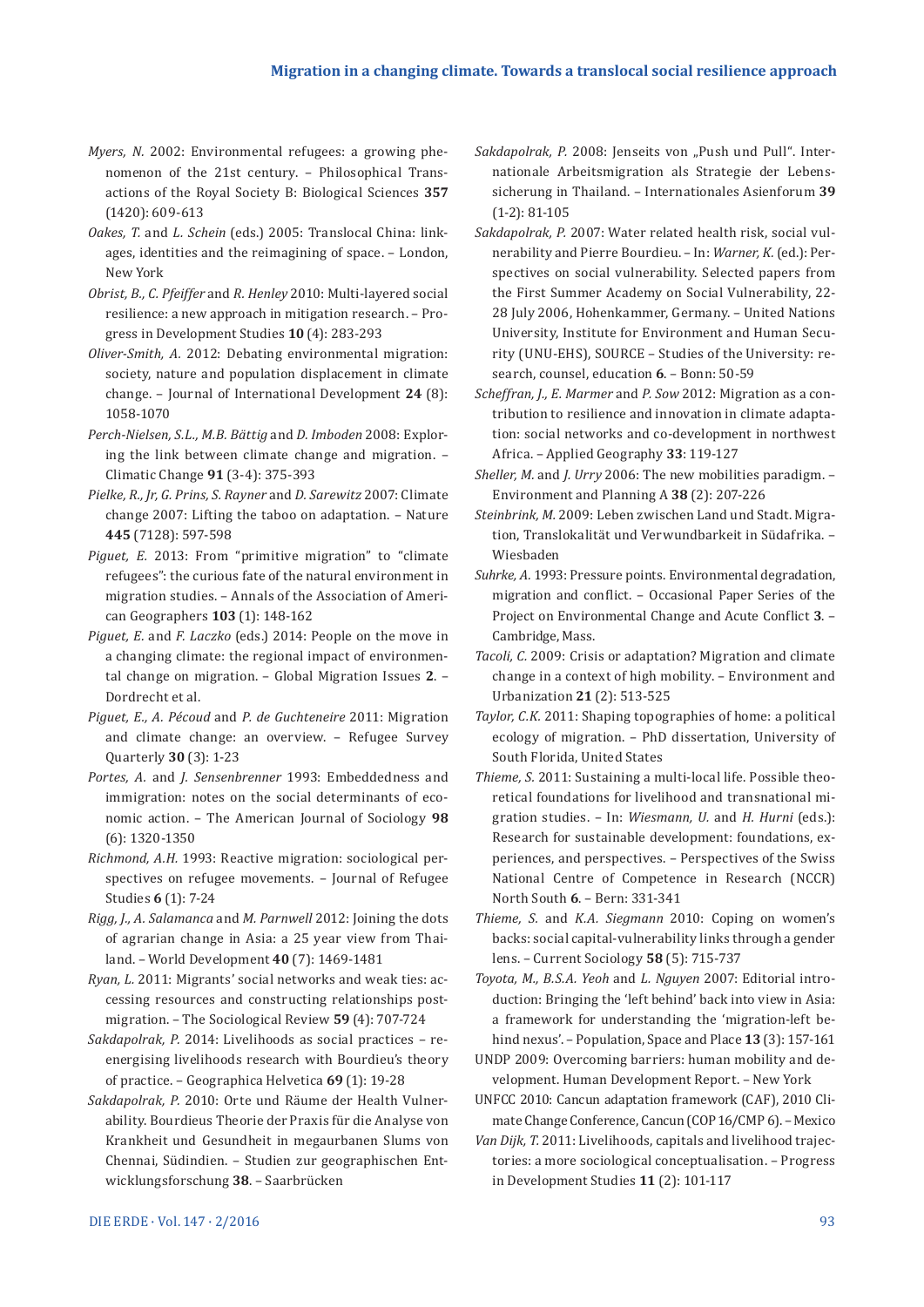- *Myers, N.* 2002: Environmental refugees: a growing phenomenon of the 21st century. – Philosophical Transactions of the Royal Society B: Biological Sciences **357**  (1420): 609-613
- *Oakes, T.* and *L. Schein* (eds.) 2005: Translocal China: linkages, identities and the reimagining of space. – London, New York
- *Obrist, B., C. Pfeiffer* and *R. Henley* 2010: Multi-layered social resilience: a new approach in mitigation research. – Progress in Development Studies **10** (4): 283-293
- *Oliver-Smith, A.* 2012: Debating environmental migration: society, nature and population displacement in climate change. – Journal of International Development **24** (8): 1058-1070
- *Perch-Nielsen, S.L., M.B. Bättig* and *D. Imboden* 2008: Exploring the link between climate change and migration. – Climatic Change **91** (3-4): 375-393
- *Pielke, R., Jr, G. Prins, S. Rayner* and *D. Sarewitz* 2007: Climate change 2007: Lifting the taboo on adaptation. – Nature **445** (7128): 597-598
- *Piguet, E.* 2013: From "primitive migration" to "climate refugees": the curious fate of the natural environment in migration studies. – Annals of the Association of American Geographers **103** (1): 148-162
- *Piguet, E.* and *F. Laczko* (eds.) 2014: People on the move in a changing climate: the regional impact of environmental change on migration. – Global Migration Issues **2**. – Dordrecht et al.
- *Piguet, E., A. Pécoud* and *P. de Guchteneire* 2011: Migration and climate change: an overview. – Refugee Survey Quarterly **30** (3): 1-23
- *Portes, A.* and *J. Sensenbrenner* 1993: Embeddedness and immigration: notes on the social determinants of economic action. – The American Journal of Sociology **98**  (6): 1320-1350
- *Richmond, A.H.* 1993: Reactive migration: sociological perspectives on refugee movements. – Journal of Refugee Studies **6** (1): 7-24
- *Rigg, J., A. Salamanca* and *M. Parnwell* 2012: Joining the dots of agrarian change in Asia: a 25 year view from Thailand. – World Development **40** (7): 1469-1481
- *Ryan, L.* 2011: Migrants' social networks and weak ties: accessing resources and constructing relationships postmigration. – The Sociological Review **59** (4): 707-724
- *Sakdapolrak, P.* 2014: Livelihoods as social practices reenergising livelihoods research with Bourdieu's theory of practice. – Geographica Helvetica **69** (1): 19-28
- *Sakdapolrak, P.* 2010: Orte und Räume der Health Vulnerability. Bourdieus Theorie der Praxis für die Analyse von Krankheit und Gesundheit in megaurbanen Slums von Chennai, Südindien. – Studien zur geographischen Entwicklungsforschung **38**. – Saarbrücken
- *Sakdapolrak, P.* 2008: Jenseits von "Push und Pull". Internationale Arbeitsmigration als Strategie der Lebenssicherung in Thailand. – Internationales Asienforum **39**  (1-2): 81-105
- *Sakdapolrak, P.* 2007: Water related health risk, social vulnerability and Pierre Bourdieu. – In: *Warner, K.* (ed.): Perspectives on social vulnerability. Selected papers from the First Summer Academy on Social Vulnerability, 22- 28 July 2006, Hohenkammer, Germany. – United Nations University, Institute for Environment and Human Security (UNU-EHS), SOURCE – Studies of the University: research, counsel, education **6**. – Bonn: 50-59
- *Scheffran, J., E. Marmer* and *P. Sow* 2012: Migration as a contribution to resilience and innovation in climate adaptation: social networks and co-development in northwest Africa. – Applied Geography **33**: 119-127
- *Sheller, M.* and *J. Urry* 2006: The new mobilities paradigm. Environment and Planning A **38** (2): 207-226
- *Steinbrink, M.* 2009: Leben zwischen Land und Stadt. Migration, Translokalität und Verwundbarkeit in Südafrika. – Wiesbaden
- *Suhrke, A.* 1993: Pressure points. Environmental degradation, migration and conflict. – Occasional Paper Series of the Project on Environmental Change and Acute Conflict **3**. – Cambridge, Mass.
- *Tacoli, C.* 2009: Crisis or adaptation? Migration and climate change in a context of high mobility. – Environment and Urbanization **21** (2): 513-525
- *Taylor, C.K.* 2011: Shaping topographies of home: a political ecology of migration. – PhD dissertation, University of South Florida, United States
- *Thieme, S.* 2011: Sustaining a multi-local life. Possible theoretical foundations for livelihood and transnational migration studies. – In: *Wiesmann, U.* and *H. Hurni* (eds.): Research for sustainable development: foundations, experiences, and perspectives. – Perspectives of the Swiss National Centre of Competence in Research (NCCR) North South **6**. – Bern: 331-341
- *Thieme, S.* and *K.A. Siegmann* 2010: Coping on women's backs: social capital-vulnerability links through a gender lens. – Current Sociology **58** (5): 715-737
- *Toyota, M., B.S.A. Yeoh* and *L. Nguyen* 2007: Editorial introduction: Bringing the 'left behind' back into view in Asia: a framework for understanding the 'migration-left behind nexus'. – Population, Space and Place **13** (3): 157-161
- UNDP 2009: Overcoming barriers: human mobility and development. Human Development Report. – New York
- UNFCC 2010: Cancun adaptation framework (CAF), 2010 Climate Change Conference, Cancun (COP 16/CMP 6). – Mexico
- *Van Dijk, T.* 2011: Livelihoods, capitals and livelihood trajectories: a more sociological conceptualisation. – Progress in Development Studies **11** (2): 101-117